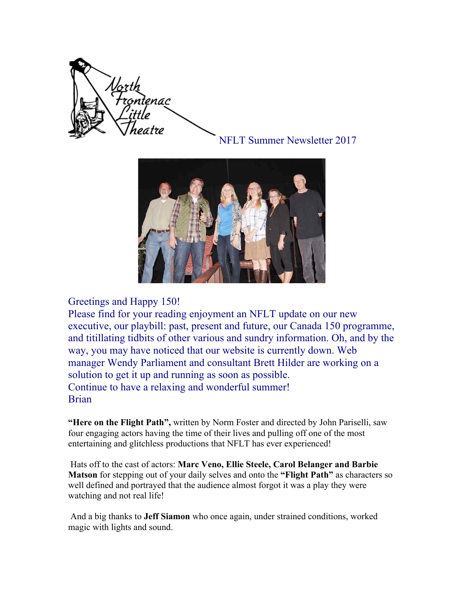

NFLT Summer Newsletter 2017



### Greetings and Happy 150!

Please find for your reading enjoyment an NFLT update on our new executive, our playbill: past, present and future, our Canada 150 programme, and titillating tidbits of other various and sundry information. Oh, and by the way, you may have noticed that our website is currently down. Web manager Wendy Parliament and consultant Brett Hilder are working on a solution to get it up and running as soon as possible. Continue to have a relaxing and wonderful summer! Brian

**"Here on the Flight Path",** written by Norm Foster and directed by John Pariselli, saw four engaging actors having the time of their lives and pulling off one of the most entertaining and glitchless productions that NFLT has ever experienced!

 Hats off to the cast of actors: **Marc Veno, Ellie Steele, Carol Belanger and Barbie Matson** for stepping out of your daily selves and onto the **"Flight Path"** as characters so well defined and portrayed that the audience almost forgot it was a play they were watching and not real life!

 And a big thanks to **Jeff Siamon** who once again, under strained conditions, worked magic with lights and sound.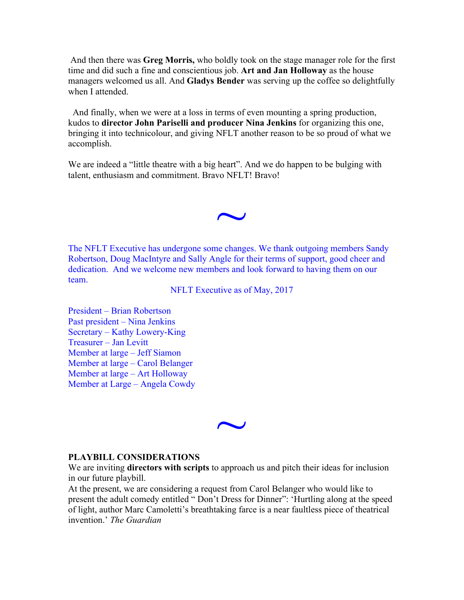And then there was **Greg Morris,** who boldly took on the stage manager role for the first time and did such a fine and conscientious job. **Art and Jan Holloway** as the house managers welcomed us all. And **Gladys Bender** was serving up the coffee so delightfully when I attended.

 And finally, when we were at a loss in terms of even mounting a spring production, kudos to **director John Pariselli and producer Nina Jenkins** for organizing this one, bringing it into technicolour, and giving NFLT another reason to be so proud of what we accomplish.

We are indeed a "little theatre with a big heart". And we do happen to be bulging with talent, enthusiasm and commitment. Bravo NFLT! Bravo!

 $\overline{\phantom{0}}$ 

The NFLT Executive has undergone some changes. We thank outgoing members Sandy Robertson, Doug MacIntyre and Sally Angle for their terms of support, good cheer and dedication. And we welcome new members and look forward to having them on our team.

NFLT Executive as of May, 2017

President – Brian Robertson Past president – Nina Jenkins Secretary – Kathy Lowery-King Treasurer – Jan Levitt Member at large – Jeff Siamon Member at large – Carol Belanger Member at large – Art Holloway Member at Large – Angela Cowdy

 $\overline{\phantom{0}}$ 

#### **PLAYBILL CONSIDERATIONS**

We are inviting **directors with scripts** to approach us and pitch their ideas for inclusion in our future playbill.

At the present, we are considering a request from Carol Belanger who would like to present the adult comedy entitled " Don't Dress for Dinner": 'Hurtling along at the speed of light, author Marc Camoletti's breathtaking farce is a near faultless piece of theatrical invention.' *The Guardian*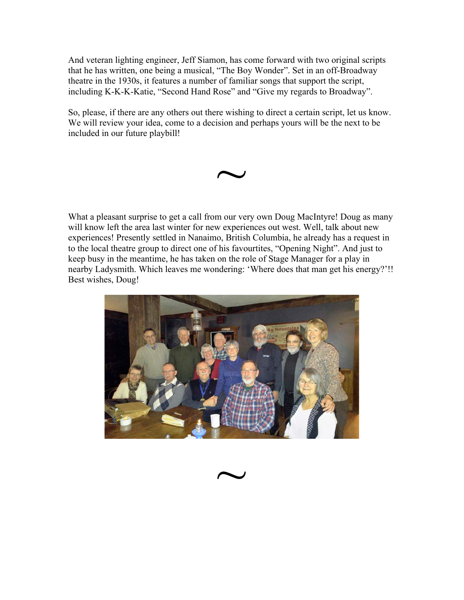And veteran lighting engineer, Jeff Siamon, has come forward with two original scripts that he has written, one being a musical, "The Boy Wonder". Set in an off-Broadway theatre in the 1930s, it features a number of familiar songs that support the script, including K-K-K-Katie, "Second Hand Rose" and "Give my regards to Broadway".

So, please, if there are any others out there wishing to direct a certain script, let us know. We will review your idea, come to a decision and perhaps yours will be the next to be included in our future playbill!



What a pleasant surprise to get a call from our very own Doug MacIntyre! Doug as many will know left the area last winter for new experiences out west. Well, talk about new experiences! Presently settled in Nanaimo, British Columbia, he already has a request in to the local theatre group to direct one of his favourtites, "Opening Night". And just to keep busy in the meantime, he has taken on the role of Stage Manager for a play in nearby Ladysmith. Which leaves me wondering: 'Where does that man get his energy?'!! Best wishes, Doug!

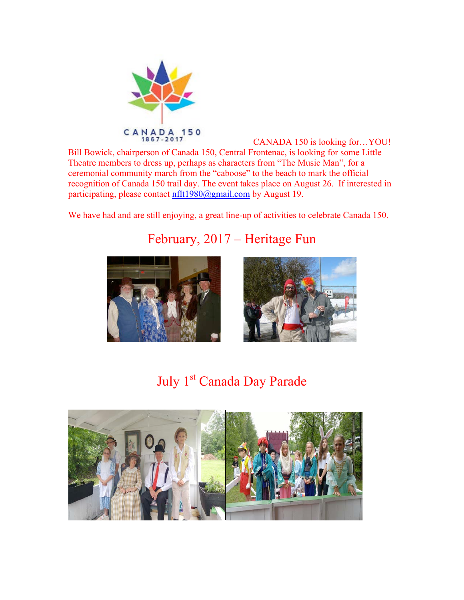

CANADA 150 is looking for…YOU! Bill Bowick, chairperson of Canada 150, Central Frontenac, is looking for some Little Theatre members to dress up, perhaps as characters from "The Music Man", for a ceremonial community march from the "caboose" to the beach to mark the official recognition of Canada 150 trail day. The event takes place on August 26. If interested in participating, please contact nflt1980@gmail.com by August 19.

We have had and are still enjoying, a great line-up of activities to celebrate Canada 150.



## February, 2017 – Heritage Fun



## July 1<sup>st</sup> Canada Day Parade